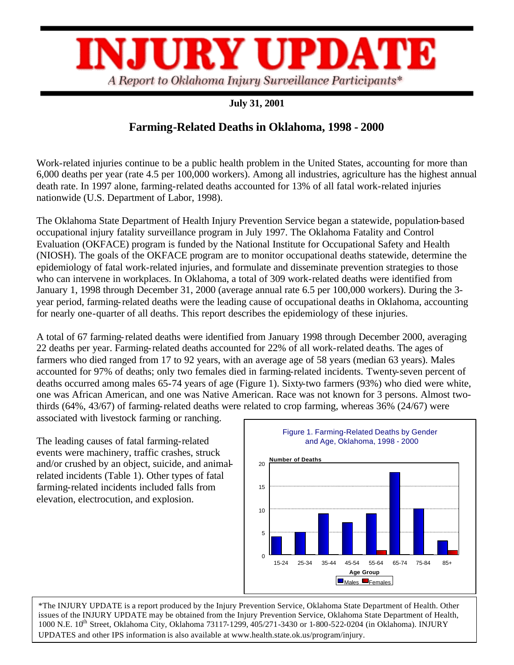

## **July 31, 2001**

## **Farming-Related Deaths in Oklahoma, 1998 - 2000**

Work-related injuries continue to be a public health problem in the United States, accounting for more than 6,000 deaths per year (rate 4.5 per 100,000 workers). Among all industries, agriculture has the highest annual death rate. In 1997 alone, farming-related deaths accounted for 13% of all fatal work-related injuries nationwide (U.S. Department of Labor, 1998).

The Oklahoma State Department of Health Injury Prevention Service began a statewide, population-based occupational injury fatality surveillance program in July 1997. The Oklahoma Fatality and Control Evaluation (OKFACE) program is funded by the National Institute for Occupational Safety and Health (NIOSH). The goals of the OKFACE program are to monitor occupational deaths statewide, determine the epidemiology of fatal work-related injuries, and formulate and disseminate prevention strategies to those who can intervene in workplaces. In Oklahoma, a total of 309 work-related deaths were identified from January 1, 1998 through December 31, 2000 (average annual rate 6.5 per 100,000 workers). During the 3 year period, farming-related deaths were the leading cause of occupational deaths in Oklahoma, accounting for nearly one-quarter of all deaths. This report describes the epidemiology of these injuries.

A total of 67 farming-related deaths were identified from January 1998 through December 2000, averaging 22 deaths per year. Farming-related deaths accounted for 22% of all work-related deaths. The ages of farmers who died ranged from 17 to 92 years, with an average age of 58 years (median 63 years). Males accounted for 97% of deaths; only two females died in farming-related incidents. Twenty-seven percent of deaths occurred among males 65-74 years of age (Figure 1). Sixty-two farmers (93%) who died were white, one was African American, and one was Native American. Race was not known for 3 persons. Almost twothirds (64%, 43/67) of farming-related deaths were related to crop farming, whereas 36% (24/67) were

associated with livestock farming or ranching.

The leading causes of fatal farming-related events were machinery, traffic crashes, struck and/or crushed by an object, suicide, and animalrelated incidents (Table 1). Other types of fatal farming-related incidents included falls from elevation, electrocution, and explosion.



\*The INJURY UPDATE is a report produced by the Injury Prevention Service, Oklahoma State Department of Health. Other issues of the INJURY UPDATE may be obtained from the Injury Prevention Service, Oklahoma State Department of Health, 1000 N.E. 10<sup>th</sup> Street, Oklahoma City, Oklahoma 73117-1299, 405/271-3430 or 1-800-522-0204 (in Oklahoma). INJURY UPDATES and other IPS information is also available at www.health.state.ok.us/program/injury.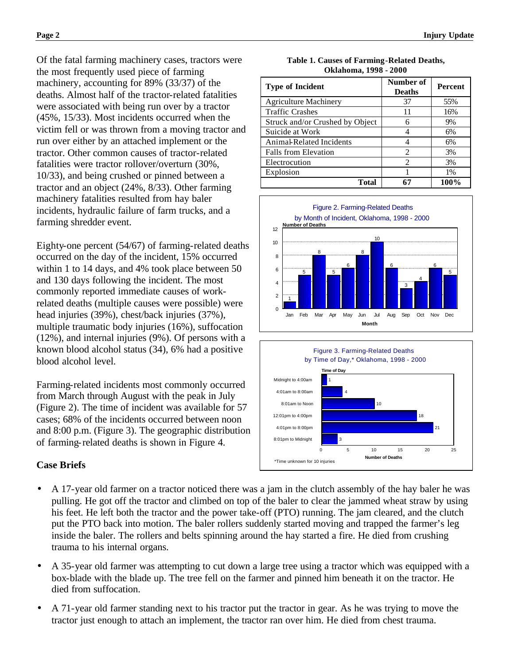Of the fatal farming machinery cases, tractors were the most frequently used piece of farming machinery, accounting for 89% (33/37) of the deaths. Almost half of the tractor-related fatalities were associated with being run over by a tractor (45%, 15/33). Most incidents occurred when the victim fell or was thrown from a moving tractor and run over either by an attached implement or the tractor. Other common causes of tractor-related fatalities were tractor rollover/overturn (30%, 10/33), and being crushed or pinned between a tractor and an object (24%, 8/33). Other farming machinery fatalities resulted from hay baler incidents, hydraulic failure of farm trucks, and a farming shredder event.

Eighty-one percent (54/67) of farming-related deaths occurred on the day of the incident, 15% occurred within 1 to 14 days, and 4% took place between 50 and 130 days following the incident. The most commonly reported immediate causes of workrelated deaths (multiple causes were possible) were head injuries (39%), chest/back injuries (37%), multiple traumatic body injuries (16%), suffocation (12%), and internal injuries (9%). Of persons with a known blood alcohol status (34), 6% had a positive blood alcohol level.

Farming-related incidents most commonly occurred from March through August with the peak in July (Figure 2). The time of incident was available for 57 cases; 68% of the incidents occurred between noon and 8:00 p.m. (Figure 3). The geographic distribution of farming-related deaths is shown in Figure 4.

## **Case Briefs**

- A 17-year old farmer on a tractor noticed there was a jam in the clutch assembly of the hay baler he was pulling. He got off the tractor and climbed on top of the baler to clear the jammed wheat straw by using his feet. He left both the tractor and the power take-off (PTO) running. The jam cleared, and the clutch put the PTO back into motion. The baler rollers suddenly started moving and trapped the farmer's leg inside the baler. The rollers and belts spinning around the hay started a fire. He died from crushing trauma to his internal organs.
- A 35-year old farmer was attempting to cut down a large tree using a tractor which was equipped with a box-blade with the blade up. The tree fell on the farmer and pinned him beneath it on the tractor. He died from suffocation.
- A 71-year old farmer standing next to his tractor put the tractor in gear. As he was trying to move the tractor just enough to attach an implement, the tractor ran over him. He died from chest trauma.

| <b>Type of Incident</b>         | Number of<br><b>Deaths</b>  | <b>Percent</b> |
|---------------------------------|-----------------------------|----------------|
| <b>Agriculture Machinery</b>    | 37                          | 55%            |
| <b>Traffic Crashes</b>          | 11                          | 16%            |
| Struck and/or Crushed by Object | 6                           | 9%             |
| Suicide at Work                 | 4                           | 6%             |
| Animal-Related Incidents        |                             | 6%             |
| <b>Falls from Elevation</b>     | $\overline{c}$              | 3%             |
| Electrocution                   | $\mathcal{D}_{\mathcal{L}}$ | 3%             |
| Explosion                       |                             | $1\%$          |
| <b>Total</b>                    | 67                          | 100%           |

**Table 1. Causes of Farming-Related Deaths, Oklahoma, 1998 - 2000**



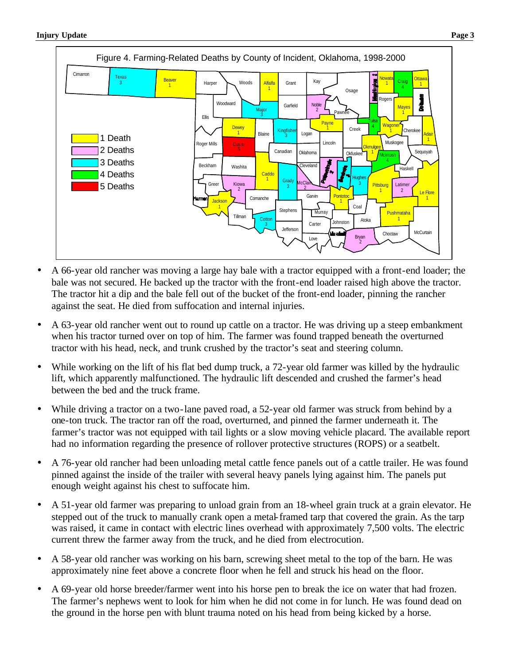

- A 66-year old rancher was moving a large hay bale with a tractor equipped with a front-end loader; the bale was not secured. He backed up the tractor with the front-end loader raised high above the tractor. The tractor hit a dip and the bale fell out of the bucket of the front-end loader, pinning the rancher against the seat. He died from suffocation and internal injuries.
- A 63-year old rancher went out to round up cattle on a tractor. He was driving up a steep embankment when his tractor turned over on top of him. The farmer was found trapped beneath the overturned tractor with his head, neck, and trunk crushed by the tractor's seat and steering column.
- While working on the lift of his flat bed dump truck, a 72-year old farmer was killed by the hydraulic lift, which apparently malfunctioned. The hydraulic lift descended and crushed the farmer's head between the bed and the truck frame.
- While driving a tractor on a two-lane paved road, a 52-year old farmer was struck from behind by a one-ton truck. The tractor ran off the road, overturned, and pinned the farmer underneath it. The farmer's tractor was not equipped with tail lights or a slow moving vehicle placard. The available report had no information regarding the presence of rollover protective structures (ROPS) or a seatbelt.
- A 76-year old rancher had been unloading metal cattle fence panels out of a cattle trailer. He was found pinned against the inside of the trailer with several heavy panels lying against him. The panels put enough weight against his chest to suffocate him.
- A 51-year old farmer was preparing to unload grain from an 18-wheel grain truck at a grain elevator. He stepped out of the truck to manually crank open a metal-framed tarp that covered the grain. As the tarp was raised, it came in contact with electric lines overhead with approximately 7,500 volts. The electric current threw the farmer away from the truck, and he died from electrocution.
- A 58-year old rancher was working on his barn, screwing sheet metal to the top of the barn. He was approximately nine feet above a concrete floor when he fell and struck his head on the floor.
- A 69-year old horse breeder/farmer went into his horse pen to break the ice on water that had frozen. The farmer's nephews went to look for him when he did not come in for lunch. He was found dead on the ground in the horse pen with blunt trauma noted on his head from being kicked by a horse.